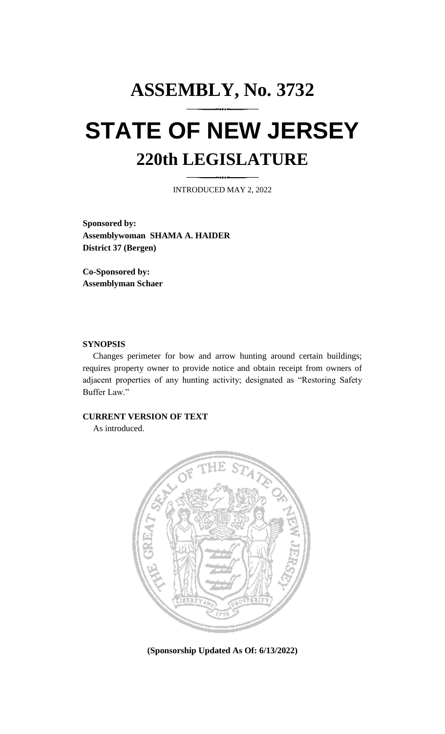# **ASSEMBLY, No. 3732 STATE OF NEW JERSEY 220th LEGISLATURE**

INTRODUCED MAY 2, 2022

**Sponsored by: Assemblywoman SHAMA A. HAIDER District 37 (Bergen)**

**Co-Sponsored by: Assemblyman Schaer**

#### **SYNOPSIS**

Changes perimeter for bow and arrow hunting around certain buildings; requires property owner to provide notice and obtain receipt from owners of adjacent properties of any hunting activity; designated as "Restoring Safety Buffer Law."

### **CURRENT VERSION OF TEXT**

As introduced.



**(Sponsorship Updated As Of: 6/13/2022)**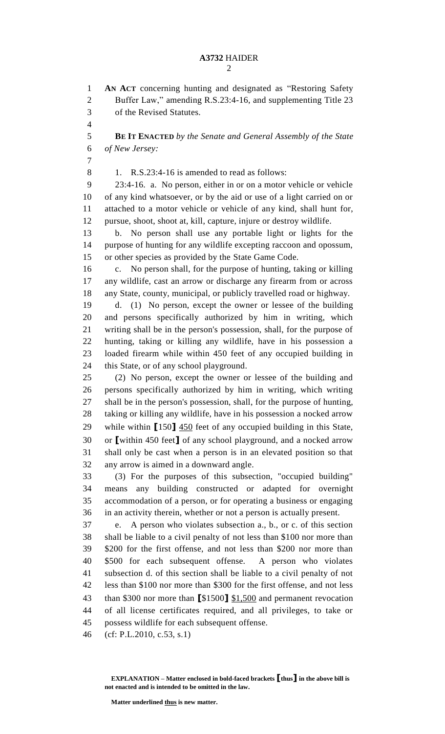## **A3732** HAIDER

 **AN ACT** concerning hunting and designated as "Restoring Safety Buffer Law," amending R.S.23:4-16, and supplementing Title 23

of the Revised Statutes.

 **BE IT ENACTED** *by the Senate and General Assembly of the State of New Jersey:* 1. R.S.23:4-16 is amended to read as follows: 23:4-16. a. No person, either in or on a motor vehicle or vehicle of any kind whatsoever, or by the aid or use of a light carried on or attached to a motor vehicle or vehicle of any kind, shall hunt for, pursue, shoot, shoot at, kill, capture, injure or destroy wildlife. 13 b. No person shall use any portable light or lights for the purpose of hunting for any wildlife excepting raccoon and opossum, or other species as provided by the State Game Code. c. No person shall, for the purpose of hunting, taking or killing any wildlife, cast an arrow or discharge any firearm from or across any State, county, municipal, or publicly travelled road or highway. d. (1) No person, except the owner or lessee of the building and persons specifically authorized by him in writing, which writing shall be in the person's possession, shall, for the purpose of hunting, taking or killing any wildlife, have in his possession a loaded firearm while within 450 feet of any occupied building in this State, or of any school playground. (2) No person, except the owner or lessee of the building and persons specifically authorized by him in writing, which writing shall be in the person's possession, shall, for the purpose of hunting, taking or killing any wildlife, have in his possession a nocked arrow

 while within **[**150**]** 450 feet of any occupied building in this State, or **[**within 450 feet**]** of any school playground, and a nocked arrow shall only be cast when a person is in an elevated position so that any arrow is aimed in a downward angle.

 (3) For the purposes of this subsection, "occupied building" means any building constructed or adapted for overnight accommodation of a person, or for operating a business or engaging in an activity therein, whether or not a person is actually present.

 e. A person who violates subsection a., b., or c. of this section shall be liable to a civil penalty of not less than \$100 nor more than \$200 for the first offense, and not less than \$200 nor more than \$500 for each subsequent offense. A person who violates subsection d. of this section shall be liable to a civil penalty of not less than \$100 nor more than \$300 for the first offense, and not less than \$300 nor more than **[**\$1500**]** \$1,500 and permanent revocation of all license certificates required, and all privileges, to take or possess wildlife for each subsequent offense.

(cf: P.L.2010, c.53, s.1)